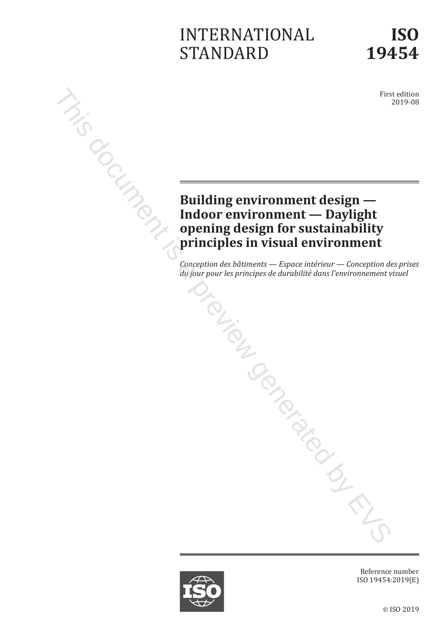## INTERNATIONAL STANDARD

First edition 2019-08

## **Building environment design**<br> **Building environment — Daylight**<br> **Building environment — Daylight**<br> **Parameter Property All Strategies (Property)**<br>
Parameter Property Property All Strategies (Property)<br>
Property All Strat **Indoor environment — Daylight opening design for sustainability principles in visual environment**  $\frac{1}{\sqrt{2}}$ <br>  $\frac{1}{\sqrt{2}}$ <br>  $\frac{1}{\sqrt{2}}$ <br>  $\frac{1}{\sqrt{2}}$ <br>  $\frac{1}{\sqrt{2}}$ <br>  $\frac{1}{\sqrt{2}}$ <br>  $\frac{1}{\sqrt{2}}$ <br>  $\frac{1}{\sqrt{2}}$ <br>  $\frac{1}{\sqrt{2}}$ <br>  $\frac{1}{\sqrt{2}}$ <br>  $\frac{1}{\sqrt{2}}$ <br>  $\frac{1}{\sqrt{2}}$ <br>  $\frac{1}{\sqrt{2}}$ <br>  $\frac{1}{\sqrt{2}}$ <br>  $\frac{1}{\sqrt{2}}$ <br>  $\frac{1}{\sqrt{2}}$

*Conception des bâtiments — Espace intérieur — Conception des prises du jour pour les principes de durabilité dans l'environnement visuel*



Reference number ISO 19454:2019(E)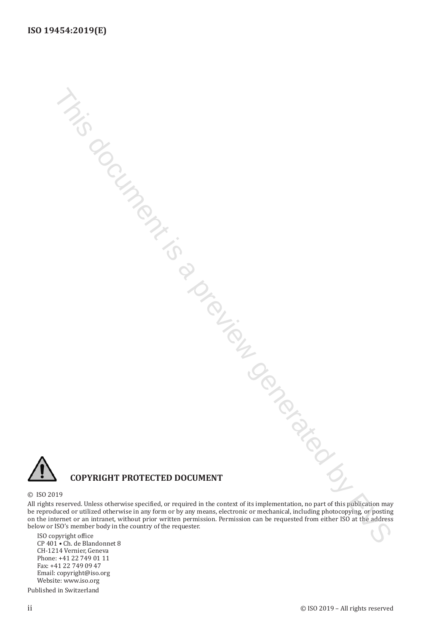

## **COPYRIGHT PROTECTED DOCUMENT**

### © ISO 2019

All rights reserved. Unless otherwise specified, or required in the context of its implementation, no part of this publication may be reproduced or utilized otherwise in any form or by any means, electronic or mechanical, including photocopying, or posting on the internet or an intranet, without prior written permission. Permission can be requested from either ISO at the address below or ISO's member body in the country of the requester. This document is a preview generated by EVS

ISO copyright office CP 401 • Ch. de Blandonnet 8 CH-1214 Vernier, Geneva Phone: +41 22 749 01 11 Fax: +41 22 749 09 47 Email: copyright@iso.org Website: www.iso.org

Published in Switzerland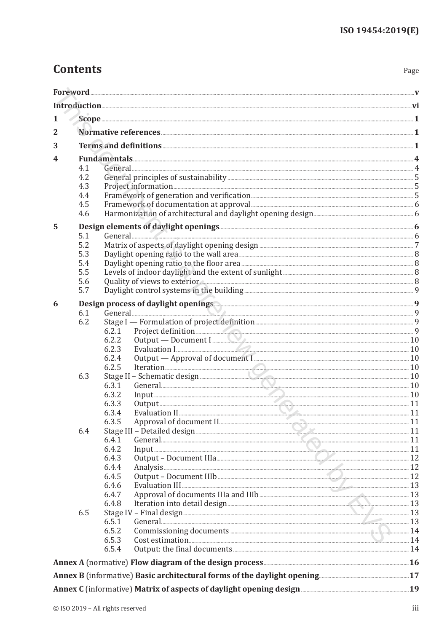## **Contents**

Page

| 1            |                                                                                                                                                                                                                                |                                                                                                                                                                                                                                               |  |  |
|--------------|--------------------------------------------------------------------------------------------------------------------------------------------------------------------------------------------------------------------------------|-----------------------------------------------------------------------------------------------------------------------------------------------------------------------------------------------------------------------------------------------|--|--|
| $\mathbf{2}$ |                                                                                                                                                                                                                                |                                                                                                                                                                                                                                               |  |  |
|              |                                                                                                                                                                                                                                |                                                                                                                                                                                                                                               |  |  |
| 3            |                                                                                                                                                                                                                                |                                                                                                                                                                                                                                               |  |  |
| 4            | Fundamentals 2000 and 2000 and 2000 and 2000 and 2000 and 2000 and 2000 and 2000 and 2000 and 2000 and 2000 and 2000 and 2000 and 2000 and 2000 and 2000 and 2000 and 2000 and 2000 and 2000 and 2000 and 2000 and 2000 and 20 |                                                                                                                                                                                                                                               |  |  |
|              | 4.1<br>4.2                                                                                                                                                                                                                     |                                                                                                                                                                                                                                               |  |  |
|              | 4.3                                                                                                                                                                                                                            |                                                                                                                                                                                                                                               |  |  |
|              | 4.4                                                                                                                                                                                                                            |                                                                                                                                                                                                                                               |  |  |
|              | 4.5                                                                                                                                                                                                                            | Framework of documentation at approval <b>Example 2018</b> 6                                                                                                                                                                                  |  |  |
|              | 4.6                                                                                                                                                                                                                            |                                                                                                                                                                                                                                               |  |  |
| 5            |                                                                                                                                                                                                                                |                                                                                                                                                                                                                                               |  |  |
|              | 5.1<br>General 6                                                                                                                                                                                                               |                                                                                                                                                                                                                                               |  |  |
|              | 5.2                                                                                                                                                                                                                            |                                                                                                                                                                                                                                               |  |  |
|              | 5.3                                                                                                                                                                                                                            |                                                                                                                                                                                                                                               |  |  |
|              | 5.4                                                                                                                                                                                                                            |                                                                                                                                                                                                                                               |  |  |
|              | 5.5                                                                                                                                                                                                                            |                                                                                                                                                                                                                                               |  |  |
|              | 5.6                                                                                                                                                                                                                            | Quality of views to exterior 8                                                                                                                                                                                                                |  |  |
|              | 5.7                                                                                                                                                                                                                            |                                                                                                                                                                                                                                               |  |  |
| 6            |                                                                                                                                                                                                                                | Design process of daylight openings <b>Exercise Construction Construction</b> 9                                                                                                                                                               |  |  |
|              | 6.1                                                                                                                                                                                                                            |                                                                                                                                                                                                                                               |  |  |
|              | 6.2                                                                                                                                                                                                                            | Stage I — Formulation of project definition <b>CONCLETE ISON CONTROL</b> 9                                                                                                                                                                    |  |  |
|              |                                                                                                                                                                                                                                | 6.2.1                                                                                                                                                                                                                                         |  |  |
|              |                                                                                                                                                                                                                                | Output — Document I <u>Electron Communication and the set of the set of the set of the set of the set of the set of the set of the set of the set of the set of the set of the set of the set of the set of the set of the set o</u><br>6.2.2 |  |  |
|              |                                                                                                                                                                                                                                | Evaluation I. 2020 10<br>6.2.3                                                                                                                                                                                                                |  |  |
|              |                                                                                                                                                                                                                                | 6.2.4                                                                                                                                                                                                                                         |  |  |
|              |                                                                                                                                                                                                                                | 6.2.5                                                                                                                                                                                                                                         |  |  |
|              | 6.3                                                                                                                                                                                                                            |                                                                                                                                                                                                                                               |  |  |
|              |                                                                                                                                                                                                                                | General 20<br>6.3.1                                                                                                                                                                                                                           |  |  |
|              |                                                                                                                                                                                                                                | $\boxed{\text{Input}}_{\text{max}} \quad \boxed{\text{10}}$<br>6.3.2                                                                                                                                                                          |  |  |
|              |                                                                                                                                                                                                                                | 6.3.3                                                                                                                                                                                                                                         |  |  |
|              |                                                                                                                                                                                                                                | 6.3.4                                                                                                                                                                                                                                         |  |  |
|              |                                                                                                                                                                                                                                | 6.3.5                                                                                                                                                                                                                                         |  |  |
|              | 6.4                                                                                                                                                                                                                            |                                                                                                                                                                                                                                               |  |  |
|              |                                                                                                                                                                                                                                | 6.4.1                                                                                                                                                                                                                                         |  |  |
|              |                                                                                                                                                                                                                                | 6.4.2<br>6.4.3                                                                                                                                                                                                                                |  |  |
|              |                                                                                                                                                                                                                                | 6.4.4                                                                                                                                                                                                                                         |  |  |
|              |                                                                                                                                                                                                                                | 6.4.5                                                                                                                                                                                                                                         |  |  |
|              |                                                                                                                                                                                                                                | 6.4.6                                                                                                                                                                                                                                         |  |  |
|              |                                                                                                                                                                                                                                | 6.4.7                                                                                                                                                                                                                                         |  |  |
|              |                                                                                                                                                                                                                                | 6.4.8                                                                                                                                                                                                                                         |  |  |
|              | 6.5                                                                                                                                                                                                                            |                                                                                                                                                                                                                                               |  |  |
|              |                                                                                                                                                                                                                                | 6.5.1                                                                                                                                                                                                                                         |  |  |
|              |                                                                                                                                                                                                                                | Commissioning documents <b>Example 20</b> and 20 and 20 and 20 and 20 and 20 and 20 and 20 and 20 and 20 and 20 and 20 and 20 and 20 and 20 and 20 and 20 and 20 and 20 and 20 and 20 and 20 and 20 and 20 and 20 and 20 and 20 and<br>6.5.2  |  |  |
|              |                                                                                                                                                                                                                                | 6.5.3                                                                                                                                                                                                                                         |  |  |
|              |                                                                                                                                                                                                                                | 6.5.4                                                                                                                                                                                                                                         |  |  |
|              |                                                                                                                                                                                                                                |                                                                                                                                                                                                                                               |  |  |
|              | Annex B (informative) Basic architectural forms of the daylight opening [17] 17                                                                                                                                                |                                                                                                                                                                                                                                               |  |  |
|              | Annex C (informative) Matrix of aspects of daylight opening design <b>matricial and SO 19</b>                                                                                                                                  |                                                                                                                                                                                                                                               |  |  |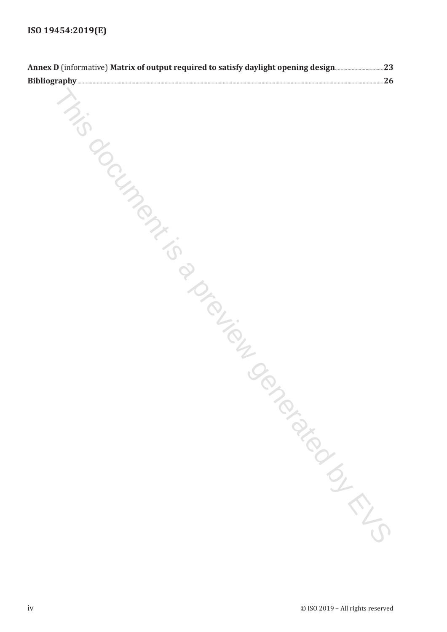| Bibliography 26 |  |
|-----------------|--|
|                 |  |
|                 |  |
|                 |  |
|                 |  |
|                 |  |
|                 |  |
|                 |  |
|                 |  |
|                 |  |
|                 |  |
|                 |  |
|                 |  |
|                 |  |
|                 |  |
|                 |  |
|                 |  |
|                 |  |
|                 |  |
|                 |  |
|                 |  |
|                 |  |
|                 |  |
|                 |  |
|                 |  |
|                 |  |
|                 |  |
|                 |  |
|                 |  |
|                 |  |
|                 |  |
| TON TON BYSIN   |  |
|                 |  |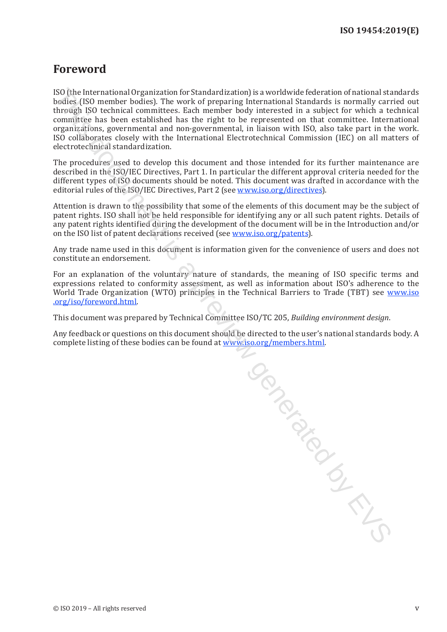## <span id="page-4-0"></span>**Foreword**

ISO (the International Organization for Standardization) is a worldwide federation of national standards bodies (ISO member bodies). The work of preparing International Standards is normally carried out through ISO technical committees. Each member body interested in a subject for which a technical committee has been established has the right to be represented on that committee. International organizations, governmental and non-governmental, in liaison with ISO, also take part in the work. ISO collaborates closely with the International Electrotechnical Commission (IEC) on all matters of electrotechnical standardization.

The procedures used to develop this document and those intended for its further maintenance are described in the ISO/IEC Directives, Part 1. In particular the different approval criteria needed for the different types of ISO documents should be noted. This document was drafted in accordance with the editorial rules of the ISO/IEC Directives, Part 2 (see www.iso.org/directives).

Attention is drawn to the possibility that some of the elements of this document may be the subject of patent rights. ISO shall not be held responsible for identifying any or all such patent rights. Details of any patent rights identified during the development of the document will be in the Introduction and/or on the ISO list of patent declarations received (see www.iso.org/patents).

Any trade name used in this document is information given for the convenience of users and does not constitute an endorsement.

For an explanation of the voluntary nature of standards, the meaning of ISO specific terms and expressions related to conformity assessment, as well as information about ISO's adherence to the World Trade Organization (WTO) principles in the Technical Barriers to Trade (TBT) see [www.iso](http://www.iso.org/iso/foreword.html) .org/iso/foreword.html.

This document was prepared by Technical Committee ISO/TC 205, *Building environment design*.

Any feedback or questions on this document should be directed to the user's national standards body. A complete listing of these bodies can be found at www.iso.org/members.html.

Tomanday is a previously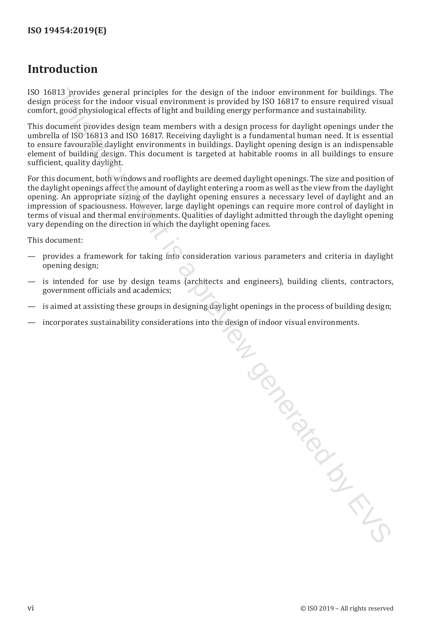## <span id="page-5-0"></span>**Introduction**

ISO 16813 provides general principles for the design of the indoor environment for buildings. The design process for the indoor visual environment is provided by ISO 16817 to ensure required visual comfort, good physiological effects of light and building energy performance and sustainability.

This document provides design team members with a design process for daylight openings under the umbrella of ISO 16813 and ISO 16817. Receiving daylight is a fundamental human need. It is essential to ensure favourable daylight environments in buildings. Daylight opening design is an indispensable element of building design. This document is targeted at habitable rooms in all buildings to ensure sufficient, quality daylight.

For this document, both windows and rooflights are deemed daylight openings. The size and position of the daylight openings affect the amount of daylight entering a room as well as the view from the daylight opening. An appropriate sizing of the daylight opening ensures a necessary level of daylight and an impression of spaciousness. However, large daylight openings can require more control of daylight in terms of visual and thermal environments. Qualities of daylight admitted through the daylight opening vary depending on the direction in which the daylight opening faces.

This document:

- provides a framework for taking into consideration various parameters and criteria in daylight opening design;
- is intended for use by design teams (architects and engineers), building clients, contractors, government officials and academics;
- is aimed at assisting these groups in designing daylight openings in the process of building design;
- incorporates sustainability considerations into the design of indoor visual environments.

Sures de la presidence du la presidence